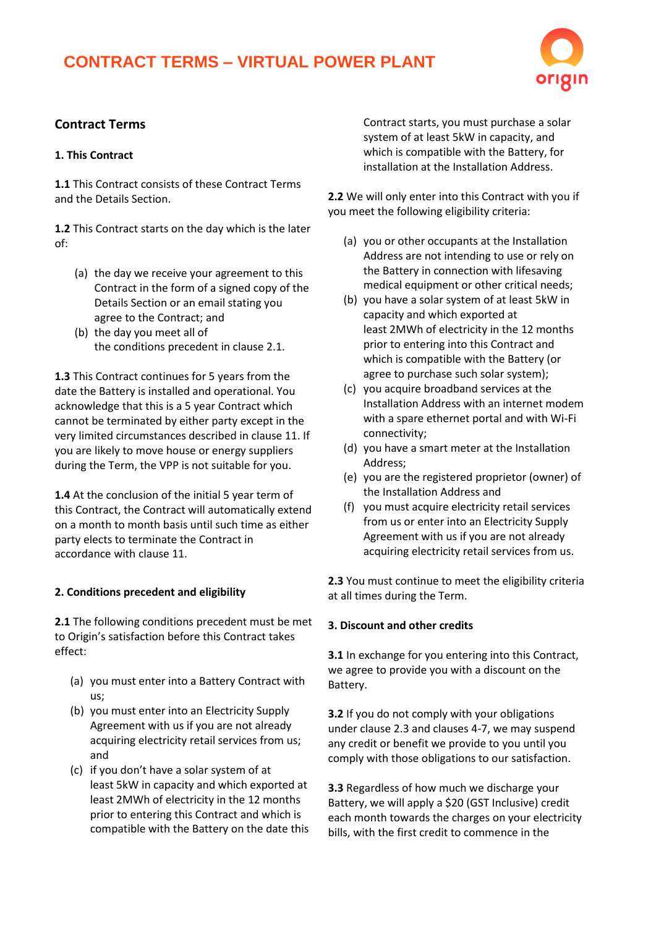# **CONTRACT TERMS – VIRTUAL POWER PLANT**



# **Contract Terms**

## **1. This Contract**

**1.1** This Contract consists of these Contract Terms and the Details Section.

**1.2** This Contract starts on the day which is the later of:

- (a) the day we receive your agreement to this Contract in the form of a signed copy of the Details Section or an email stating you agree to the Contract; and
- (b) the day you meet all of the conditions precedent in clause 2.1.

**1.3** This Contract continues for 5 years from the date the Battery is installed and operational. You acknowledge that this is a 5 year Contract which cannot be terminated by either party except in the very limited circumstances described in clause 11. If you are likely to move house or energy suppliers during the Term, the VPP is not suitable for you.

**1.4** At the conclusion of the initial 5 year term of this Contract, the Contract will automatically extend on a month to month basis until such time as either party elects to terminate the Contract in accordance with clause 11.

## **2. Conditions precedent and eligibility**

**2.1** The following conditions precedent must be met to Origin's satisfaction before this Contract takes effect:

- (a) you must enter into a Battery Contract with us;
- (b) you must enter into an Electricity Supply Agreement with us if you are not already acquiring electricity retail services from us; and
- (c) if you don't have a solar system of at least 5kW in capacity and which exported at least 2MWh of electricity in the 12 months prior to entering this Contract and which is compatible with the Battery on the date this

Contract starts, you must purchase a solar system of at least 5kW in capacity, and which is compatible with the Battery, for installation at the Installation Address.

**2.2** We will only enter into this Contract with you if you meet the following eligibility criteria:

- (a) you or other occupants at the Installation Address are not intending to use or rely on the Battery in connection with lifesaving medical equipment or other critical needs;
- (b) you have a solar system of at least 5kW in capacity and which exported at least 2MWh of electricity in the 12 months prior to entering into this Contract and which is compatible with the Battery (or agree to purchase such solar system);
- (c) you acquire broadband services at the Installation Address with an internet modem with a spare ethernet portal and with Wi-Fi connectivity;
- (d) you have a smart meter at the Installation Address;
- (e) you are the registered proprietor (owner) of the Installation Address and
- (f) you must acquire electricity retail services from us or enter into an Electricity Supply Agreement with us if you are not already acquiring electricity retail services from us.

**2.3** You must continue to meet the eligibility criteria at all times during the Term.

## **3. Discount and other credits**

**3.1** In exchange for you entering into this Contract, we agree to provide you with a discount on the Battery.

**3.2** If you do not comply with your obligations under clause 2.3 and clauses 4-7, we may suspend any credit or benefit we provide to you until you comply with those obligations to our satisfaction.

**3.3** Regardless of how much we discharge your Battery, we will apply a \$20 (GST Inclusive) credit each month towards the charges on your electricity bills, with the first credit to commence in the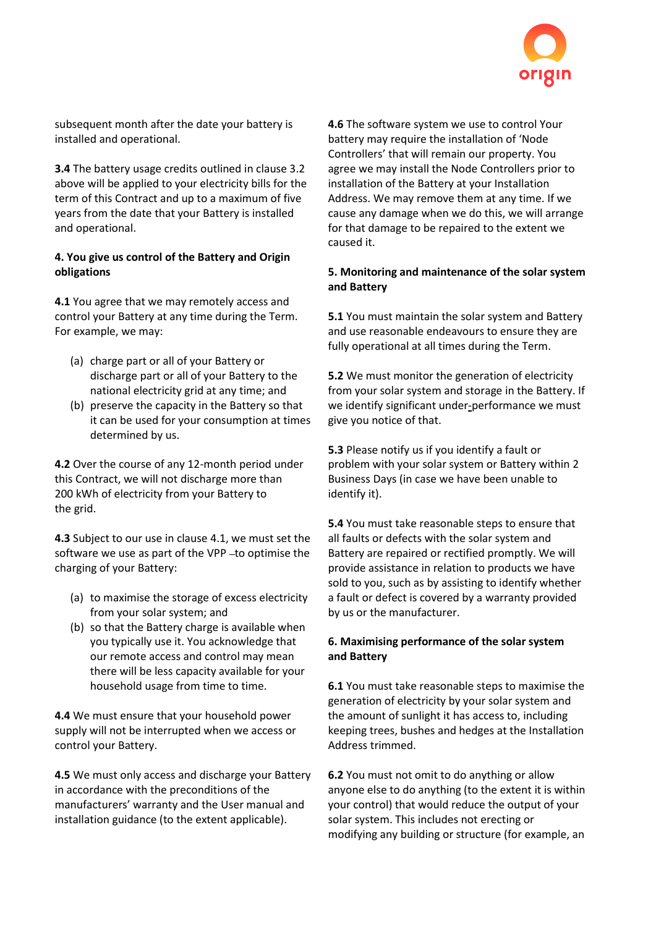

subsequent month after the date your battery is installed and operational.

**3.4** The battery usage credits outlined in clause 3.2 above will be applied to your electricity bills for the term of this Contract and up to a maximum of five years from the date that your Battery is installed and operational.

## **4. You give us control of the Battery and Origin obligations**

**4.1** You agree that we may remotely access and control your Battery at any time during the Term. For example, we may:

- (a) charge part or all of your Battery or discharge part or all of your Battery to the national electricity grid at any time; and
- (b) preserve the capacity in the Battery so that it can be used for your consumption at times determined by us.

**4.2** Over the course of any 12-month period under this Contract, we will not discharge more than 200 kWh of electricity from your Battery to the grid.

**4.3** Subject to our use in clause 4.1, we must set the software we use as part of the VPP-to optimise the charging of your Battery:

- (a) to maximise the storage of excess electricity from your solar system; and
- (b) so that the Battery charge is available when you typically use it. You acknowledge that our remote access and control may mean there will be less capacity available for your household usage from time to time.

**4.4** We must ensure that your household power supply will not be interrupted when we access or control your Battery.

**4.5** We must only access and discharge your Battery in accordance with the preconditions of the manufacturers' warranty and the User manual and installation guidance (to the extent applicable).

**4.6** The software system we use to control Your battery may require the installation of 'Node Controllers' that will remain our property. You agree we may install the Node Controllers prior to installation of the Battery at your Installation Address. We may remove them at any time. If we cause any damage when we do this, we will arrange for that damage to be repaired to the extent we caused it.

## **5. Monitoring and maintenance of the solar system and Battery**

**5.1** You must maintain the solar system and Battery and use reasonable endeavours to ensure they are fully operational at all times during the Term.

**5.2** We must monitor the generation of electricity from your solar system and storage in the Battery. If we identify significant under-performance we must give you notice of that.

**5.3** Please notify us if you identify a fault or problem with your solar system or Battery within 2 Business Days (in case we have been unable to identify it).

**5.4** You must take reasonable steps to ensure that all faults or defects with the solar system and Battery are repaired or rectified promptly. We will provide assistance in relation to products we have sold to you, such as by assisting to identify whether a fault or defect is covered by a warranty provided by us or the manufacturer.

# **6. Maximising performance of the solar system and Battery**

**6.1** You must take reasonable steps to maximise the generation of electricity by your solar system and the amount of sunlight it has access to, including keeping trees, bushes and hedges at the Installation Address trimmed.

**6.2** You must not omit to do anything or allow anyone else to do anything (to the extent it is within your control) that would reduce the output of your solar system. This includes not erecting or modifying any building or structure (for example, an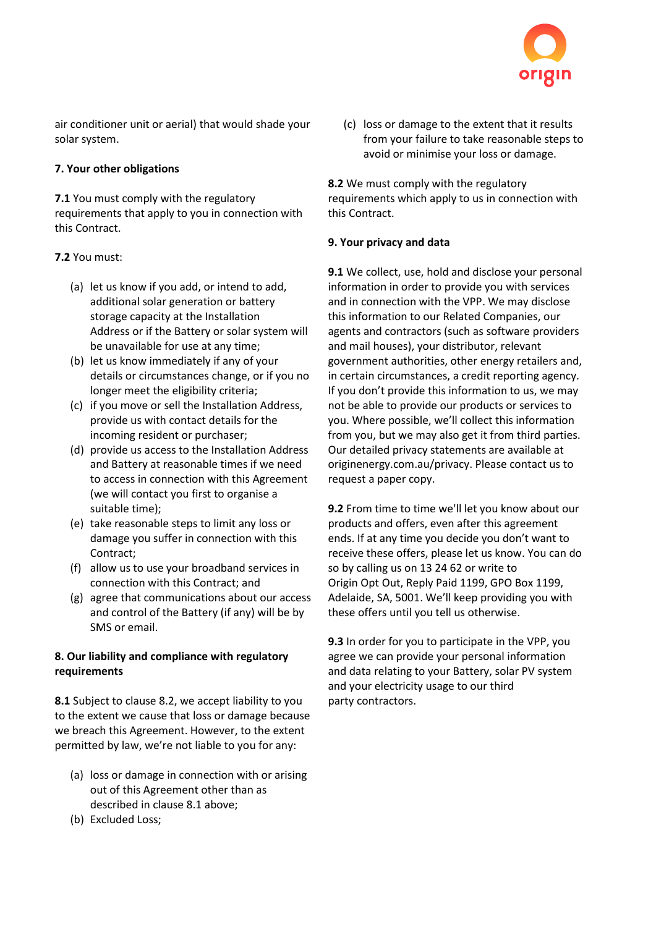

air conditioner unit or aerial) that would shade your solar system.

# **7. Your other obligations**

**7.1** You must comply with the regulatory requirements that apply to you in connection with this Contract.

# **7.2** You must:

- (a) let us know if you add, or intend to add, additional solar generation or battery storage capacity at the Installation Address or if the Battery or solar system will be unavailable for use at any time;
- (b) let us know immediately if any of your details or circumstances change, or if you no longer meet the eligibility criteria;
- (c) if you move or sell the Installation Address, provide us with contact details for the incoming resident or purchaser;
- (d) provide us access to the Installation Address and Battery at reasonable times if we need to access in connection with this Agreement (we will contact you first to organise a suitable time);
- (e) take reasonable steps to limit any loss or damage you suffer in connection with this Contract;
- (f) allow us to use your broadband services in connection with this Contract; and
- (g) agree that communications about our access and control of the Battery (if any) will be by SMS or email.

# **8. Our liability and compliance with regulatory requirements**

**8.1** Subject to clause 8.2, we accept liability to you to the extent we cause that loss or damage because we breach this Agreement. However, to the extent permitted by law, we're not liable to you for any:

- (a) loss or damage in connection with or arising out of this Agreement other than as described in clause 8.1 above;
- (b) Excluded Loss;

(c) loss or damage to the extent that it results from your failure to take reasonable steps to avoid or minimise your loss or damage.

**8.2** We must comply with the regulatory requirements which apply to us in connection with this Contract.

# **9. Your privacy and data**

**9.1** We collect, use, hold and disclose your personal information in order to provide you with services and in connection with the VPP. We may disclose this information to our Related Companies, our agents and contractors (such as software providers and mail houses), your distributor, relevant government authorities, other energy retailers and, in certain circumstances, a credit reporting agency. If you don't provide this information to us, we may not be able to provide our products or services to you. Where possible, we'll collect this information from you, but we may also get it from third parties. Our detailed privacy statements are available at originenergy.com.au/privacy. Please contact us to request a paper copy.

**9.2** From time to time we'll let you know about our products and offers, even after this agreement ends. If at any time you decide you don't want to receive these offers, please let us know. You can do so by calling us on 13 24 62 or write to Origin Opt Out, Reply Paid 1199, GPO Box 1199, Adelaide, SA, 5001. We'll keep providing you with these offers until you tell us otherwise.

**9.3** In order for you to participate in the VPP, you agree we can provide your personal information and data relating to your Battery, solar PV system and your electricity usage to our third party contractors.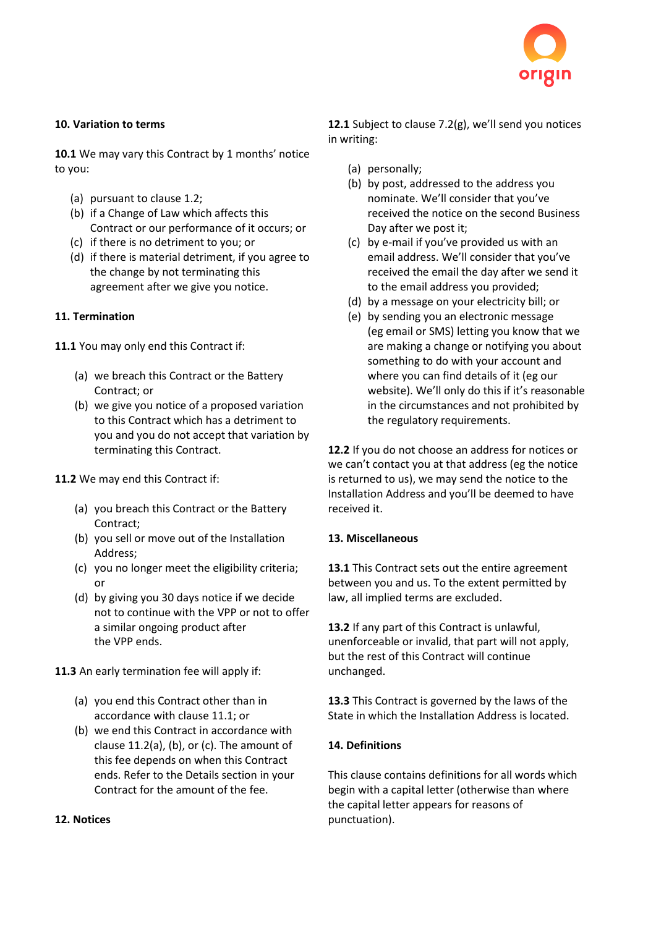

## **10. Variation to terms**

**10.1** We may vary this Contract by 1 months' notice to you:

- (a) pursuant to clause 1.2;
- (b) if a Change of Law which affects this Contract or our performance of it occurs; or
- (c) if there is no detriment to you; or
- (d) if there is material detriment, if you agree to the change by not terminating this agreement after we give you notice.

## **11. Termination**

**11.1** You may only end this Contract if:

- (a) we breach this Contract or the Battery Contract; or
- (b) we give you notice of a proposed variation to this Contract which has a detriment to you and you do not accept that variation by terminating this Contract.

## **11.2** We may end this Contract if:

- (a) you breach this Contract or the Battery Contract;
- (b) you sell or move out of the Installation Address;
- (c) you no longer meet the eligibility criteria; or
- (d) by giving you 30 days notice if we decide not to continue with the VPP or not to offer a similar ongoing product after the VPP ends.

**11.3** An early termination fee will apply if:

- (a) you end this Contract other than in accordance with clause 11.1; or
- (b) we end this Contract in accordance with clause 11.2(a), (b), or (c). The amount of this fee depends on when this Contract ends. Refer to the Details section in your Contract for the amount of the fee.

## **12. Notices**

**12.1** Subject to clause 7.2(g), we'll send you notices in writing:

- (a) personally;
- (b) by post, addressed to the address you nominate. We'll consider that you've received the notice on the second Business Day after we post it;
- (c) by e-mail if you've provided us with an email address. We'll consider that you've received the email the day after we send it to the email address you provided;
- (d) by a message on your electricity bill; or
- (e) by sending you an electronic message (eg email or SMS) letting you know that we are making a change or notifying you about something to do with your account and where you can find details of it (eg our website). We'll only do this if it's reasonable in the circumstances and not prohibited by the regulatory requirements.

**12.2** If you do not choose an address for notices or we can't contact you at that address (eg the notice is returned to us), we may send the notice to the Installation Address and you'll be deemed to have received it.

## **13. Miscellaneous**

**13.1** This Contract sets out the entire agreement between you and us. To the extent permitted by law, all implied terms are excluded.

**13.2** If any part of this Contract is unlawful, unenforceable or invalid, that part will not apply, but the rest of this Contract will continue unchanged.

**13.3** This Contract is governed by the laws of the State in which the Installation Address is located.

# **14. Definitions**

This clause contains definitions for all words which begin with a capital letter (otherwise than where the capital letter appears for reasons of punctuation).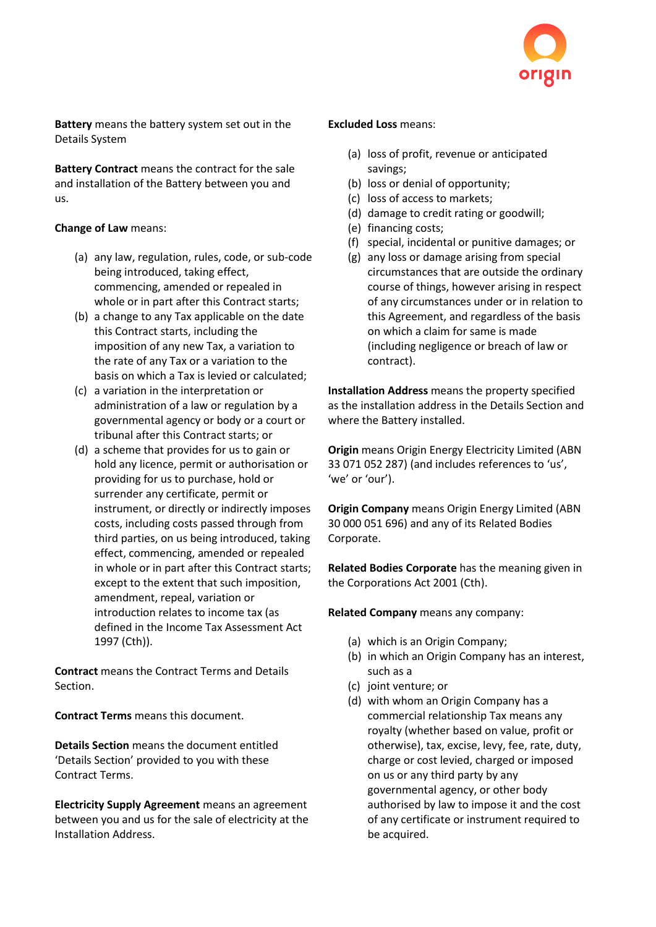

**Battery** means the battery system set out in the Details System

**Battery Contract** means the contract for the sale and installation of the Battery between you and us.

## **Change of Law** means:

- (a) any law, regulation, rules, code, or sub-code being introduced, taking effect, commencing, amended or repealed in whole or in part after this Contract starts;
- (b) a change to any Tax applicable on the date this Contract starts, including the imposition of any new Tax, a variation to the rate of any Tax or a variation to the basis on which a Tax is levied or calculated;
- (c) a variation in the interpretation or administration of a law or regulation by a governmental agency or body or a court or tribunal after this Contract starts; or
- (d) a scheme that provides for us to gain or hold any licence, permit or authorisation or providing for us to purchase, hold or surrender any certificate, permit or instrument, or directly or indirectly imposes costs, including costs passed through from third parties, on us being introduced, taking effect, commencing, amended or repealed in whole or in part after this Contract starts; except to the extent that such imposition, amendment, repeal, variation or introduction relates to income tax (as defined in the Income Tax Assessment Act 1997 (Cth)).

**Contract** means the Contract Terms and Details Section.

**Contract Terms** means this document.

**Details Section** means the document entitled 'Details Section' provided to you with these Contract Terms.

**Electricity Supply Agreement** means an agreement between you and us for the sale of electricity at the Installation Address.

#### **Excluded Loss** means:

- (a) loss of profit, revenue or anticipated savings;
- (b) loss or denial of opportunity;
- (c) loss of access to markets;
- (d) damage to credit rating or goodwill;
- (e) financing costs;
- (f) special, incidental or punitive damages; or
- (g) any loss or damage arising from special circumstances that are outside the ordinary course of things, however arising in respect of any circumstances under or in relation to this Agreement, and regardless of the basis on which a claim for same is made (including negligence or breach of law or contract).

**Installation Address** means the property specified as the installation address in the Details Section and where the Battery installed.

**Origin** means Origin Energy Electricity Limited (ABN 33 071 052 287) (and includes references to 'us', 'we' or 'our').

**Origin Company** means Origin Energy Limited (ABN 30 000 051 696) and any of its Related Bodies Corporate.

**Related Bodies Corporate** has the meaning given in the Corporations Act 2001 (Cth).

**Related Company** means any company:

- (a) which is an Origin Company;
- (b) in which an Origin Company has an interest, such as a
- (c) joint venture; or
- (d) with whom an Origin Company has a commercial relationship Tax means any royalty (whether based on value, profit or otherwise), tax, excise, levy, fee, rate, duty, charge or cost levied, charged or imposed on us or any third party by any governmental agency, or other body authorised by law to impose it and the cost of any certificate or instrument required to be acquired.